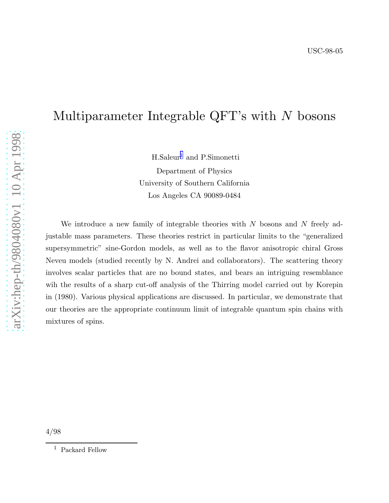# Multiparameter Integrable QFT's with N bosons

H.Saleur <sup>1</sup> and P.Simonetti Department of Physics University of Southern California Los Angeles CA 90089-0484

We introduce a new family of integrable theories with  $N$  bosons and  $N$  freely adjustable mass parameters. These theories restrict in particular limits to the "generalized supersymmetric" sine-Gordon models, as well as to the flavor anisotropic chiral Gross Neveu models (studied recently by N. Andrei and collaborators). The scattering theory involves scalar particles that are no bound states, and bears an intriguing resemblance wih the results of a sharp cut-off analysis of the Thirring model carried out by Korepin in (1980). Various physical applications are discussed. In particular, we demonstrate that our theories are the appropriate continuum limit of integrable quantum spin chains with mixtures of spins.

 $^{\rm 1}$  Packard Fellow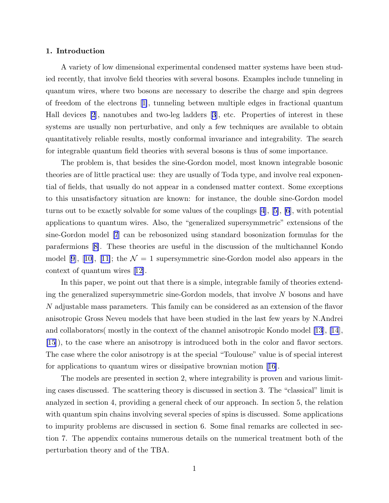# 1. Introduction

A variety of low dimensional experimental condensed matter systems have been studied recently, that involve field theories with several bosons. Examples include tunneling in quantum wires, where two bosons are necessary to describe the charge and spin degrees of freedom of the electrons[[1\]](#page-27-0), tunneling between multiple edges in fractional quantum Hall devices [\[2](#page-27-0)], nanotubes and two-leg ladders [\[3](#page-27-0)], etc. Properties of interest in these systems are usually non perturbative, and only a few techniques are available to obtain quantitatively reliable results, mostly conformal invariance and integrability. The search for integrable quantum field theories with several bosons is thus of some importance.

The problem is, that besides the sine-Gordon model, most known integrable bosonic theories are of little practical use: they are usually of Toda type, and involve real exponential of fields, that usually do not appear in a condensed matter context. Some exceptions to this unsatisfactory situation are known: for instance, the double sine-Gordon model turns out to be exactly solvable for some values of the couplings [\[4](#page-27-0)],[[5\]](#page-27-0), [\[6](#page-27-0)], with potential applications to quantum wires. Also, the "generalized supersymmetric" extensions of the sine-Gordon model [\[7](#page-27-0)] can be rebosonized using standard bosonization formulas for the parafermions[[8\]](#page-27-0). These theories are useful in the discussion of the multichannel Kondo model[[9\]](#page-27-0), [[10\]](#page-27-0), [[11\]](#page-27-0); the  $\mathcal{N} = 1$  supersymmetric sine-Gordon model also appears in the context of quantum wires[[12\]](#page-27-0).

In this paper, we point out that there is a simple, integrable family of theories extending the generalized supersymmetric sine-Gordon models, that involve N bosons and have N adjustable mass parameters. This family can be considered as an extension of the flavor anisotropic Gross Neveu models that have been studied in the last few years by N.Andrei and collaborators( mostly in the context of the channel anisotropic Kondo model [\[13](#page-27-0)], [\[14](#page-27-0)], [\[15](#page-27-0)]), to the case where an anisotropy is introduced both in the color and flavor sectors. The case where the color anisotropy is at the special "Toulouse" value is of special interest for applications to quantum wires or dissipative brownian motion[[16\]](#page-27-0).

The models are presented in section 2, where integrability is proven and various limiting cases discussed. The scattering theory is discussed in section 3. The "classical" limit is analyzed in section 4, providing a general check of our approach. In section 5, the relation with quantum spin chains involving several species of spins is discussed. Some applications to impurity problems are discussed in section 6. Some final remarks are collected in section 7. The appendix contains numerous details on the numerical treatment both of the perturbation theory and of the TBA.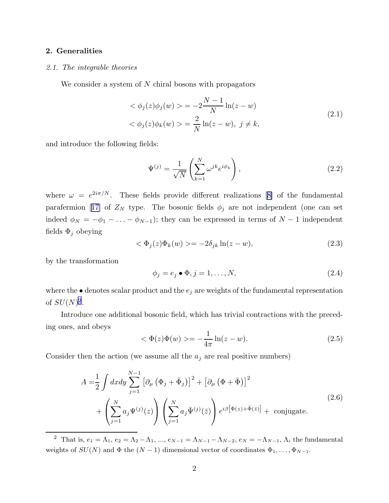# <span id="page-2-0"></span>2. Generalities

#### 2.1. The integrable theories

We consider a system of  $N$  chiral bosons with propagators

$$
\langle \phi_j(z)\phi_j(w) \rangle = -2\frac{N-1}{N}\ln(z-w) \langle \phi_j(z)\phi_k(w) \rangle = \frac{2}{N}\ln(z-w), \ j \neq k,
$$
\n(2.1)

and introduce the following fields:

$$
\Psi^{(j)} = \frac{1}{\sqrt{N}} \left( \sum_{k=1}^{N} \omega^{jk} e^{i\phi_k} \right),\tag{2.2}
$$

where $\omega = e^{2i\pi/N}$ . These fields provide different realizations [[8\]](#page-27-0) of the fundamental parafermion[[17\]](#page-27-0) of  $Z_N$  type. The bosonic fields  $\phi_j$  are not independent (one can set indeed  $\phi_N = -\phi_1 - \ldots - \phi_{N-1}$ ; they can be expressed in terms of  $N-1$  independent fields  $\Phi_j$  obeying

$$
\langle \Phi_j(z)\Phi_k(w)\rangle = -2\delta_{jk}\ln(z-w),\tag{2.3}
$$

by the transformation

$$
\phi_j = e_j \bullet \Phi, j = 1, \dots, N,\tag{2.4}
$$

where the  $\bullet$  denotes scalar product and the  $e_i$  are weights of the fundamental representation of  $SU(N)^2$ .

Introduce one additional bosonic field, which has trivial contractions with the preceding ones, and obeys

$$
<\Phi(z)\Phi(w)>=-\frac{1}{4\pi}\ln(z-w).
$$
 (2.5)

Consider then the action (we assume all the  $a_j$  are real positive numbers)

$$
A = \frac{1}{2} \int dx dy \sum_{j=1}^{N-1} \left[ \partial_{\mu} \left( \Phi_j + \bar{\Phi}_j \right) \right]^2 + \left[ \partial_{\mu} \left( \Phi + \bar{\Phi} \right) \right]^2
$$
  
+ 
$$
\left( \sum_{j=1}^{N} a_j \Psi^{(j)}(z) \right) \left( \sum_{j=1}^{N} a_j \bar{\Psi}^{(j)}(\bar{z}) \right) e^{i\beta \left[ \Phi(z) + \bar{\Phi}(\bar{z}) \right]} + \text{conjugate.}
$$
 (2.6)

<sup>&</sup>lt;sup>2</sup> That is,  $e_1 = \Lambda_1, e_2 = \Lambda_2 - \Lambda_1, ..., e_{N-1} = \Lambda_{N-1} - \Lambda_{N-2}, e_N = -\Lambda_{N-1}, \Lambda_i$  the fundamental weights of  $SU(N)$  and  $\Phi$  the  $(N-1)$  dimensional vector of coordinates  $\Phi_1, \ldots, \Phi_{N-1}$ .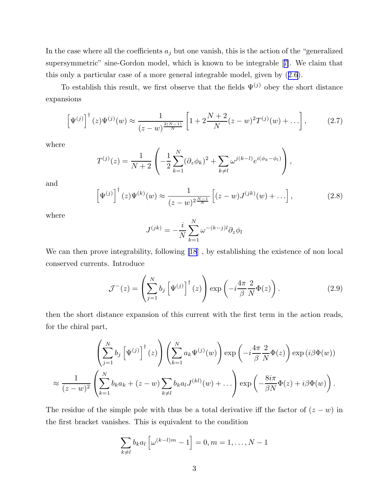In the case where all the coefficients  $a_j$  but one vanish, this is the action of the "generalized" supersymmetric" sine-Gordon model, which is known to be integrable[[7\]](#page-27-0). We claim that this only a particular case of a more general integrable model, given by([2.6\)](#page-2-0).

To establish this result, we first observe that the fields  $\Psi^{(j)}$  obey the short distance expansions

$$
\left[\Psi^{(j)}\right]^{\dagger}(z)\Psi^{(j)}(w) \approx \frac{1}{(z-w)^{\frac{2(N-1)}{N}}} \left[1 + 2\frac{N+2}{N}(z-w)^2 T^{(j)}(w) + \ldots\right],\tag{2.7}
$$

where

$$
T^{(j)}(z) = \frac{1}{N+2} \left( -\frac{1}{2} \sum_{k=1}^{N} (\partial_z \phi_k)^2 + \sum_{k \neq l} \omega^{j(k-l)} e^{i(\phi_k - \phi_l)} \right),
$$

and

$$
\left[\Psi^{(j)}\right]^{\dagger}(z)\Psi^{(k)}(w) \approx \frac{1}{(z-w)^{2\frac{N-1}{N}}}\left[(z-w)J^{(jk)}(w) + \ldots\right],\tag{2.8}
$$

where

$$
J^{(jk)} = -\frac{i}{N} \sum_{k=1}^{N} \omega^{-(k-j)l} \partial_z \phi_l
$$

We can then prove integrability, following [\[18](#page-27-0)] , by establishing the existence of non local conserved currents. Introduce

$$
\mathcal{J}^{-}(z) = \left(\sum_{j=1}^{N} b_j \left[\Psi^{(j)}\right]^{\dagger}(z)\right) \exp\left(-i\frac{4\pi}{\beta} \frac{2}{N} \Phi(z)\right). \tag{2.9}
$$

then the short distance expansion of this current with the first term in the action reads, for the chiral part,

$$
\left(\sum_{j=1}^{N} b_j \left[\Psi^{(j)}\right]^\dagger(z)\right) \left(\sum_{k=1}^{N} a_k \Psi^{(j)}(w)\right) \exp\left(-i\frac{4\pi}{\beta} \frac{2}{N} \Phi(z)\right) \exp\left(i\beta \Phi(w)\right)
$$

$$
\approx \frac{1}{(z-w)^2} \left(\sum_{k=1}^{N} b_k a_k + (z-w) \sum_{k \neq l} b_k a_l J^{(kl)}(w) + \dots\right) \exp\left(-\frac{8i\pi}{\beta N} \Phi(z) + i\beta \Phi(w)\right).
$$

The residue of the simple pole with thus be a total derivative iff the factor of  $(z - w)$  in the first bracket vanishes. This is equivalent to the condition

$$
\sum_{k\neq l} b_k a_l \left[ \omega^{(k-l)m} - 1 \right] = 0, m = 1, \dots, N-1
$$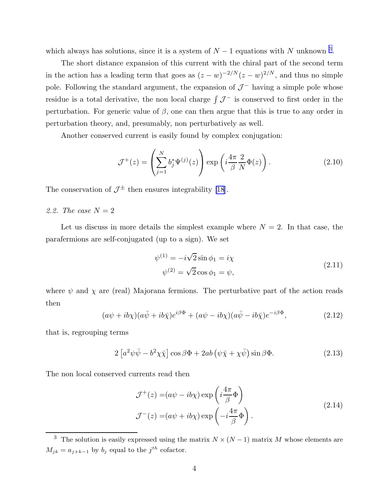<span id="page-4-0"></span>which always has solutions, since it is a system of  $N-1$  equations with N unknown <sup>3</sup>.

The short distance expansion of this current with the chiral part of the second term in the action has a leading term that goes as  $(z - w)^{-2/N} (z - w)^{2/N}$ , and thus no simple pole. Following the standard argument, the expansion of  $\mathcal{J}^-$  having a simple pole whose residue is a total derivative, the non local charge  $\int \mathcal{J}^-$  is conserved to first order in the perturbation. For generic value of  $\beta$ , one can then argue that this is true to any order in perturbation theory, and, presumably, non perturbatively as well.

Another conserved current is easily found by complex conjugation:

$$
\mathcal{J}^+(z) = \left(\sum_{j=1}^N b_j^* \Psi^{(j)}(z)\right) \exp\left(i\frac{4\pi}{\beta} \frac{2}{N} \Phi(z)\right). \tag{2.10}
$$

The conservation of  $\mathcal{J}^{\pm}$  then ensures integrability [\[18](#page-27-0)].

2.2. The case  $N = 2$ 

Let us discuss in more details the simplest example where  $N = 2$ . In that case, the parafermions are self-conjugated (up to a sign). We set

$$
\psi^{(1)} = -i\sqrt{2}\sin\phi_1 = i\chi
$$
  

$$
\psi^{(2)} = \sqrt{2}\cos\phi_1 = \psi,
$$
 (2.11)

where  $\psi$  and  $\chi$  are (real) Majorana fermions. The perturbative part of the action reads then

$$
(a\psi + ib\chi)(a\bar{\psi} + ib\bar{\chi})e^{i\beta\Phi} + (a\psi - ib\chi)(a\bar{\psi} - ib\bar{\chi})e^{-i\beta\Phi}, \qquad (2.12)
$$

that is, regrouping terms

$$
2\left[a^2\psi\bar{\psi} - b^2\chi\bar{\chi}\right]\cos\beta\Phi + 2ab\left(\psi\bar{\chi} + \chi\bar{\psi}\right)\sin\beta\Phi.
$$
 (2.13)

The non local conserved currents read then

$$
\mathcal{J}^+(z) = (a\psi - ib\chi) \exp\left(i\frac{4\pi}{\beta}\Phi\right)
$$
  

$$
\mathcal{J}^-(z) = (a\psi + ib\chi) \exp\left(-i\frac{4\pi}{\beta}\Phi\right).
$$
 (2.14)

<sup>&</sup>lt;sup>3</sup> The solution is easily expressed using the matrix  $N \times (N-1)$  matrix M whose elements are  $M_{jk} = a_{j+k-1}$  by  $b_j$  equal to the  $j^{th}$  cofactor.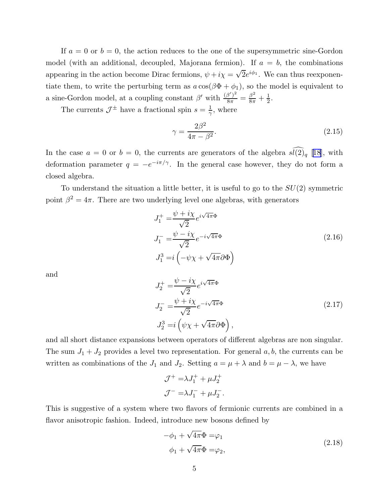If  $a = 0$  or  $b = 0$ , the action reduces to the one of the supersymmetric sine-Gordon model (with an additional, decoupled, Majorana fermion). If  $a = b$ , the combinations appearing in the action become Dirac fermions,  $\psi + i\chi = \sqrt{2}e^{i\phi_1}$ . We can thus reexponentiate them, to write the perturbing term as  $a \cos(\beta \Phi + \phi_1)$ , so the model is equivalent to a sine-Gordon model, at a coupling constant  $\beta'$  with  $\frac{(\beta')^2}{8\pi} = \frac{\beta^2}{8\pi} + \frac{1}{2}$  $\frac{1}{2}$ .

The currents  $\mathcal{J}^{\pm}$  have a fractional spin  $s = \frac{1}{\gamma}$  $\frac{1}{\gamma}$ , where

$$
\gamma = \frac{2\beta^2}{4\pi - \beta^2}.\tag{2.15}
$$

In the case  $a = 0$  or  $b = 0$ , the currents are generators of the algebra  $\widehat{\mathfrak{sl}(2)}_q$  [[18\]](#page-27-0), with deformation parameter  $q = -e^{-i\pi/\gamma}$ . In the general case however, they do not form a closed algebra.

To understand the situation a little better, it is useful to go to the  $SU(2)$  symmetric point  $\beta^2 = 4\pi$ . There are two underlying level one algebras, with generators

$$
J_1^+ = \frac{\psi + i\chi}{\sqrt{2}} e^{i\sqrt{4\pi}\Phi}
$$
  
\n
$$
J_1^- = \frac{\psi - i\chi}{\sqrt{2}} e^{-i\sqrt{4\pi}\Phi}
$$
  
\n
$$
J_1^3 = i \left( -\psi \chi + \sqrt{4\pi} \partial \Phi \right)
$$
\n(2.16)

and

$$
J_2^+ = \frac{\psi - i\chi}{\sqrt{2}} e^{i\sqrt{4\pi}\Phi}
$$
  
\n
$$
J_2^- = \frac{\psi + i\chi}{\sqrt{2}} e^{-i\sqrt{4\pi}\Phi}
$$
  
\n
$$
J_2^3 = i \left(\psi \chi + \sqrt{4\pi}\partial\Phi\right),
$$
\n(2.17)

and all short distance expansions between operators of different algebras are non singular. The sum  $J_1 + J_2$  provides a level two representation. For general  $a, b$ , the currents can be written as combinations of the  $J_1$  and  $J_2$ . Setting  $a = \mu + \lambda$  and  $b = \mu - \lambda$ , we have

$$
\mathcal{J}^+ = \lambda J_1^+ + \mu J_2^+
$$
  

$$
\mathcal{J}^- = \lambda J_1^- + \mu J_2^-.
$$

This is suggestive of a system where two flavors of fermionic currents are combined in a flavor anisotropic fashion. Indeed, introduce new bosons defined by

$$
-\phi_1 + \sqrt{4\pi}\Phi = \varphi_1
$$
  
\n
$$
\phi_1 + \sqrt{4\pi}\Phi = \varphi_2,
$$
\n(2.18)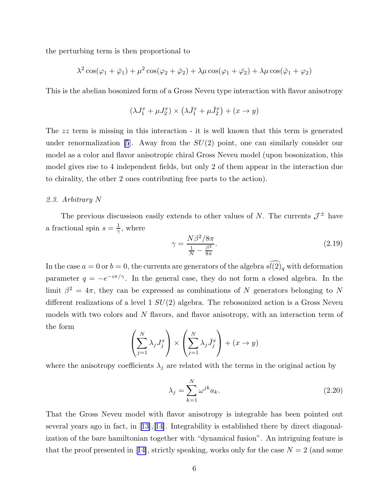<span id="page-6-0"></span>the perturbing term is then proportional to

$$
\lambda^2 \cos(\varphi_1 + \bar{\varphi}_1) + \mu^2 \cos(\varphi_2 + \bar{\varphi}_2) + \lambda \mu \cos(\varphi_1 + \bar{\varphi}_2) + \lambda \mu \cos(\bar{\varphi}_1 + \varphi_2)
$$

This is the abelian bosonized form of a Gross Neveu type interaction with flavor anisotropy

$$
(\lambda J_1^x+\mu J_2^x)\times \left(\lambda \bar{J}_1^x+\mu \bar{J}_2^x\right)+(x\to y)
$$

The zz term is missing in this interaction - it is well known that this term is generated under renormalization [\[5](#page-27-0)]. Away from the  $SU(2)$  point, one can similarly consider our model as a color and flavor anisotropic chiral Gross Neveu model (upon bosonization, this model gives rise to 4 independent fields, but only 2 of them appear in the interaction due to chirality, the other 2 ones contributing free parts to the action).

# 2.3. Arbitrary N

The previous discussison easily extends to other values of N. The currents  $\mathcal{J}^{\pm}$  have a fractional spin  $s=\frac{1}{\gamma}$  $\frac{1}{\gamma}$ , where

$$
\gamma = \frac{N\beta^2/8\pi}{\frac{1}{N} - \frac{\beta^2}{8\pi}}.\tag{2.19}
$$

In the case  $a = 0$  or  $b = 0$ , the currents are generators of the algebra  $\widehat{\mathfrak{sl}(2)}_q$  with deformation parameter  $q = -e^{-i\pi/\gamma}$ . In the general case, they do not form a closed algebra. In the limit  $\beta^2 = 4\pi$ , they can be expressed as combinations of N generators belonging to N different realizations of a level  $1 SU(2)$  algebra. The rebosonized action is a Gross Neveu models with two colors and N flavors, and flavor anisotropy, with an interaction term of the form

$$
\left(\sum_{j=1}^{N} \lambda_j J_j^x\right) \times \left(\sum_{j=1}^{N} \lambda_j \bar{J}_j^x\right) + (x \to y)
$$

where the anisotropy coefficients  $\lambda_j$  are related with the terms in the original action by

$$
\lambda_j = \sum_{k=1}^N \omega^{jk} a_k.
$$
\n(2.20)

That the Gross Neveu model with flavor anisotropy is integrable has been pointed out severalyears ago in fact, in  $[13]$  $[13]$ ,  $[14]$  $[14]$ . Integrability is established there by direct diagonalization of the bare hamiltonian together with "dynamical fusion". An intriguing feature is thatthe proof presented in [[14\]](#page-27-0), strictly speaking, works only for the case  $N = 2$  (and some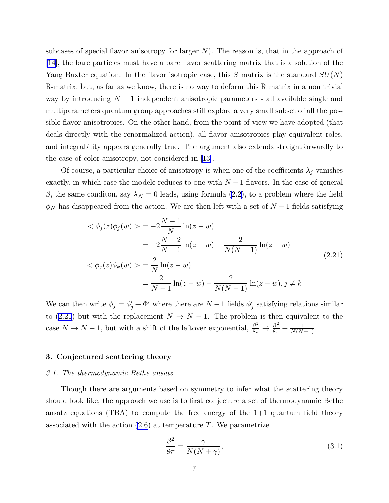subcases of special flavor anisotropy for larger  $N$ ). The reason is, that in the approach of [\[14](#page-27-0)], the bare particles must have a bare flavor scattering matrix that is a solution of the Yang Baxter equation. In the flavor isotropic case, this S matrix is the standard  $SU(N)$ R-matrix; but, as far as we know, there is no way to deform this R matrix in a non trivial way by introducing  $N-1$  independent anisotropic parameters - all available single and multiparameters quantum group approaches still explore a very small subset of all the possible flavor anisotropies. On the other hand, from the point of view we have adopted (that deals directly with the renormalized action), all flavor anisotropies play equivalent roles, and integrability appears generally true. The argument also extends straightforwardly to the case of color anisotropy, not considered in[[13\]](#page-27-0).

Of course, a particular choice of anisotropy is when one of the coefficients  $\lambda_i$  vanishes exactly, in which case the modele reduces to one with  $N-1$  flavors. In the case of general β,the same condition, say  $\lambda_N = 0$  leads, using formula ([2.2](#page-2-0)), to a problem where the field  $\phi_N$  has disappeared from the action. We are then left with a set of  $N-1$  fields satisfying

$$
\langle \phi_j(z)\phi_j(w) \rangle = -2\frac{N-1}{N}\ln(z-w)
$$
  
\n
$$
= -2\frac{N-2}{N-1}\ln(z-w) - \frac{2}{N(N-1)}\ln(z-w)
$$
  
\n
$$
\langle \phi_j(z)\phi_k(w) \rangle = \frac{2}{N}\ln(z-w)
$$
  
\n
$$
= \frac{2}{N-1}\ln(z-w) - \frac{2}{N(N-1)}\ln(z-w), j \neq k
$$
\n(2.21)

We can then write  $\phi_j = \phi'_j + \Phi'$  where there are  $N-1$  fields  $\phi'_j$  satisfying relations similar to (2.21) but with the replacement  $N \to N-1$ . The problem is then equivalent to the case  $N \to N-1$ , but with a shift of the leftover exponential,  $\frac{\beta^2}{8\pi} \to \frac{\beta^2}{8\pi} + \frac{1}{N(N-1)}$ .

#### 3. Conjectured scattering theory

#### 3.1. The thermodynamic Bethe ansatz

Though there are arguments based on symmetry to infer what the scattering theory should look like, the approach we use is to first conjecture a set of thermodynamic Bethe ansatz equations  $(TBA)$  to compute the free energy of the  $1+1$  quantum field theory associated with the action  $(2.6)$  at temperature T. We parametrize

$$
\frac{\beta^2}{8\pi} = \frac{\gamma}{N(N+\gamma)},\tag{3.1}
$$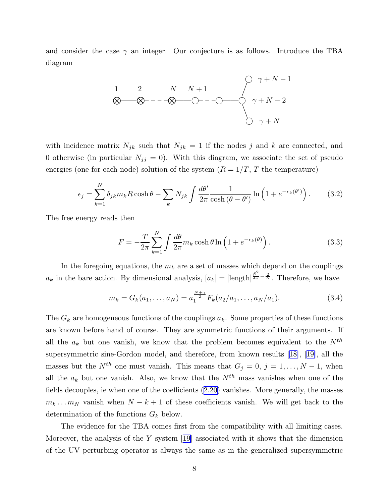<span id="page-8-0"></span>and consider the case  $\gamma$  an integer. Our conjecture is as follows. Introduce the TBA diagram

$$
\begin{array}{ccc}\n1 & 2 & N & N+1 \\
& \bigotimes & \bigotimes & -\bigotimes & \bigodot & -\bigodot & \bigotimes & \gamma+N-1 \\
& & & \bigotimes & \gamma+N-2 \\
& & & \bigotimes & \gamma+N\n\end{array}
$$

with incidence matrix  $N_{jk}$  such that  $N_{jk} = 1$  if the nodes j and k are connected, and 0 otherwise (in particular  $N_{jj} = 0$ ). With this diagram, we associate the set of pseudo energies (one for each node) solution of the system  $(R = 1/T, T$  the temperature)

$$
\epsilon_j = \sum_{k=1}^N \delta_{jk} m_k R \cosh \theta - \sum_k N_{jk} \int \frac{d\theta'}{2\pi} \frac{1}{\cosh(\theta - \theta')} \ln\left(1 + e^{-\epsilon_k(\theta')}\right). \tag{3.2}
$$

The free energy reads then

$$
F = -\frac{T}{2\pi} \sum_{k=1}^{N} \int \frac{d\theta}{2\pi} m_k \cosh\theta \ln\left(1 + e^{-\epsilon_k(\theta)}\right).
$$
 (3.3)

In the foregoing equations, the  $m_k$  are a set of masses which depend on the couplings  $a_k$  in the bare action. By dimensional analysis,  $[a_k] = [\text{length}]^{\frac{\beta^2}{4\pi} - \frac{2}{N}}$ . Therefore, we have

$$
m_k = G_k(a_1, \dots, a_N) = a_1^{\frac{N+\gamma}{2}} F_k(a_2/a_1, \dots, a_N/a_1).
$$
 (3.4)

The  $G_k$  are homogeneous functions of the couplings  $a_k$ . Some properties of these functions are known before hand of course. They are symmetric functions of their arguments. If all the  $a_k$  but one vanish, we know that the problem becomes equivalent to the  $N^{th}$ supersymmetric sine-Gordon model, and therefore, from known results[[18\]](#page-27-0),[[19\]](#page-27-0), all the masses but the  $N^{th}$  one must vanish. This means that  $G_j = 0, j = 1, ..., N - 1$ , when all the  $a_k$  but one vanish. Also, we know that the  $N^{th}$  mass vanishes when one of the fields decouples, ie when one of the coefficients([2.20](#page-6-0)) vanishes. More generally, the masses  $m_k \dots m_N$  vanish when  $N - k + 1$  of these coefficients vanish. We will get back to the determination of the functions  $G_k$  below.

The evidence for the TBA comes first from the compatibility with all limiting cases. Moreover,the analysis of the Y system  $[19]$  $[19]$  associated with it shows that the dimension of the UV perturbing operator is always the same as in the generalized supersymmetric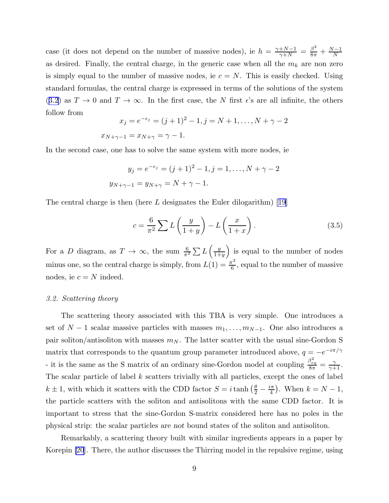case (it does not depend on the number of massive nodes), ie  $h = \frac{\gamma + N - 1}{\gamma + N} = \frac{\beta^2}{8\pi} + \frac{N-1}{N}$ as desired. Finally, the central charge, in the generic case when all the  $m_k$  are non zero is simply equal to the number of massive nodes, ie  $c = N$ . This is easily checked. Using standard formulas, the central charge is expressed in terms of the solutions of the system ([3.2](#page-8-0)) as  $T \to 0$  and  $T \to \infty$ . In the first case, the N first  $\epsilon$ 's are all infinite, the others follow from

$$
x_j = e^{-\epsilon_j} = (j+1)^2 - 1, j = N+1, \dots, N+\gamma-2
$$
  

$$
x_{N+\gamma-1} = x_{N+\gamma} = \gamma - 1.
$$

In the second case, one has to solve the same system with more nodes, ie

$$
y_j = e^{-\epsilon_j} = (j+1)^2 - 1, j = 1, ..., N + \gamma - 2
$$
  

$$
y_{N+\gamma-1} = y_{N+\gamma} = N + \gamma - 1.
$$

Thecentral charge is then (here L designates the Euler dilogarithm) [[19](#page-27-0)]

$$
c = \frac{6}{\pi^2} \sum L\left(\frac{y}{1+y}\right) - L\left(\frac{x}{1+x}\right). \tag{3.5}
$$

For a D diagram, as  $T \to \infty$ , the sum  $\frac{6}{\pi^2} \sum L\left(\frac{y}{1+\alpha}\right)$  $1+y$ ) is equal to the number of nodes minus one, so the central charge is simply, from  $L(1) = \frac{\pi^2}{6}$  $\frac{\pi^2}{6}$ , equal to the number of massive nodes, ie  $c = N$  indeed.

# 3.2. Scattering theory

The scattering theory associated with this TBA is very simple. One introduces a set of  $N-1$  scalar massive particles with masses  $m_1, \ldots, m_{N-1}$ . One also introduces a pair soliton/antisoliton with masses  $m_N$ . The latter scatter with the usual sine-Gordon S matrix that corresponds to the quantum group parameter introduced above,  $q = -e^{-i\pi/\gamma}$ - it is the same as the S matrix of an ordinary sine-Gordon model at coupling  $\frac{\beta_{eq}^2}{8\pi} = \frac{\gamma}{\gamma+1}$ . The scalar particle of label  $k$  scatters trivially with all particles, except the ones of label  $k \pm 1$ , with which it scatters with the CDD factor  $S = i \tanh\left(\frac{\theta}{2} - \frac{i\pi}{4}\right)$  $\frac{a}{4}$ ). When  $k = N - 1$ , the particle scatters with the soliton and antisolitons with the same CDD factor. It is important to stress that the sine-Gordon S-matrix considered here has no poles in the physical strip: the scalar particles are not bound states of the soliton and antisoliton.

Remarkably, a scattering theory built with similar ingredients appears in a paper by Korepin [\[20](#page-27-0)]. There, the author discusses the Thirring model in the repulsive regime, using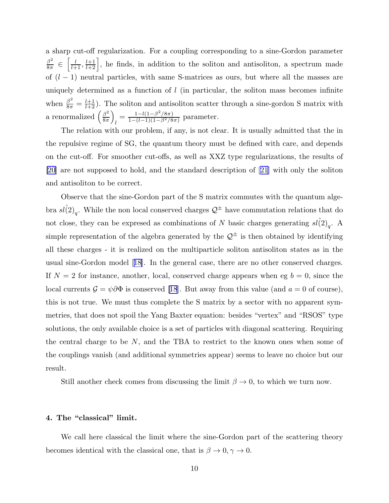a sharp cut-off regularization. For a coupling corresponding to a sine-Gordon parameter  $\beta^2$  $rac{\epsilon}{8\pi}$   $\in$  $\left[\frac{l}{l+1}, \frac{l+1}{l+2}\right]$ , he finds, in addition to the soliton and antisoliton, a spectrum made of  $(l-1)$  neutral particles, with same S-matrices as ours, but where all the masses are uniquely determined as a function of  $l$  (in particular, the soliton mass becomes infinite when  $\frac{\beta^2}{8\pi} = \frac{l+1}{l+2}$ . The soliton and antisoliton scatter through a sine-gordon S matrix with a renormalized  $\left(\frac{\beta^2}{8\pi}\right)$  $8\pi$  $\overline{ }$  $\frac{1-l(1-\beta^2/8\pi)}{1-(l-1)(1-\beta^2/8)}$  $\frac{1 - l(1 - \beta / 8\pi)}{1 - (l-1)(1 - \beta^2 / 8\pi)}$  parameter.

The relation with our problem, if any, is not clear. It is usually admitted that the in the repulsive regime of SG, the quantum theory must be defined with care, and depends on the cut-off. For smoother cut-offs, as well as XXZ type regularizations, the results of [\[20](#page-27-0)] are not supposed to hold, and the standard description of[[21\]](#page-27-0) with only the soliton and antisoliton to be correct.

Observe that the sine-Gordon part of the S matrix commutes with the quantum algebra  $s\hat{l}(2)_q$ . While the non local conserved charges  $\mathcal{Q}^{\pm}$  have commutation relations that do not close, they can be expresed as combinations of N basic charges generating  $sl(2)_q$ . A simple representation of the algebra generated by the  $\mathcal{Q}^{\pm}$  is then obtained by identifying all these charges - it is realized on the multiparticle soliton antisoliton states as in the usual sine-Gordon model[[18\]](#page-27-0). In the general case, there are no other conserved charges. If  $N = 2$  for instance, another, local, conserved charge appears when eg  $b = 0$ , since the local currents  $\mathcal{G} = \psi \partial \Phi$  is conserved [\[18](#page-27-0)]. But away from this value (and  $a = 0$  of course), this is not true. We must thus complete the S matrix by a sector with no apparent symmetries, that does not spoil the Yang Baxter equation: besides "vertex" and "RSOS" type solutions, the only available choice is a set of particles with diagonal scattering. Requiring the central charge to be  $N$ , and the TBA to restrict to the known ones when some of the couplings vanish (and additional symmetries appear) seems to leave no choice but our result.

Still another check comes from discussing the limit  $\beta \to 0$ , to which we turn now.

#### 4. The "classical" limit.

We call here classical the limit where the sine-Gordon part of the scattering theory becomes identical with the classical one, that is  $\beta \to 0, \gamma \to 0$ .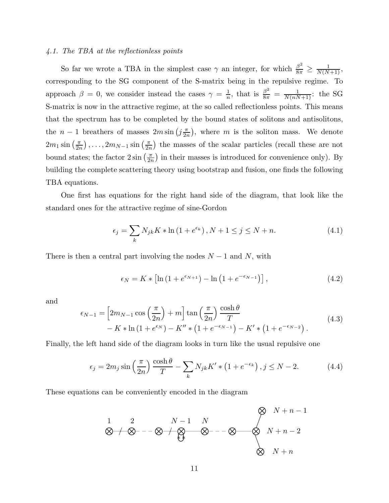# <span id="page-11-0"></span>4.1. The TBA at the reflectionless points

So far we wrote a TBA in the simplest case  $\gamma$  an integer, for which  $\frac{\beta^2}{8\pi}$  $\frac{\beta^2}{8\pi} \ge \frac{1}{N(N+1)},$ corresponding to the SG component of the S-matrix being in the repulsive regime. To approach  $\beta = 0$ , we consider instead the cases  $\gamma = \frac{1}{n}$  $\frac{1}{n}$ , that is  $\frac{\beta^2}{8\pi} = \frac{1}{N(nN+1)}$ : the SG S-matrix is now in the attractive regime, at the so called reflectionless points. This means that the spectrum has to be completed by the bound states of solitons and antisolitons, the  $n-1$  breathers of masses  $2m\sin\left(j\frac{\pi}{2n}\right)$  $\frac{\pi}{2n}$ , where m is the soliton mass. We denote  $2m_1\sin\left(\frac{\pi}{2r}\right)$  $\frac{\pi}{2n}$ ),...,  $2m_{N-1} \sin \left( \frac{\pi}{2n} \right)$  $\frac{\pi}{2n}$ ) the masses of the scalar particles (recall these are not bound states; the factor  $2\sin\left(\frac{\pi}{2r}\right)$  $\frac{\pi}{2n}$  in their masses is introduced for convenience only). By building the complete scattering theory using bootstrap and fusion, one finds the following TBA equations.

One first has equations for the right hand side of the diagram, that look like the standard ones for the attractive regime of sine-Gordon

$$
\epsilon_j = \sum_k N_{jk} K * \ln(1 + e^{\epsilon_k}), N + 1 \le j \le N + n. \tag{4.1}
$$

There is then a central part involving the nodes  $N-1$  and N, with

$$
\epsilon_N = K * \left[ \ln \left( 1 + e^{\epsilon_{N+1}} \right) - \ln \left( 1 + e^{-\epsilon_{N-1}} \right) \right],\tag{4.2}
$$

and

$$
\epsilon_{N-1} = \left[ 2m_{N-1} \cos\left(\frac{\pi}{2n}\right) + m \right] \tan\left(\frac{\pi}{2n}\right) \frac{\cosh\theta}{T} \n- K * \ln\left(1 + e^{\epsilon_N}\right) - K'' * \left(1 + e^{-\epsilon_{N-1}}\right) - K' * \left(1 + e^{-\epsilon_{N-2}}\right).
$$
\n(4.3)

Finally, the left hand side of the diagram looks in turn like the usual repulsive one

$$
\epsilon_j = 2m_j \sin\left(\frac{\pi}{2n}\right) \frac{\cosh\theta}{T} - \sum_k N_{jk} K' * \left(1 + e^{-\epsilon_k}\right), j \le N - 2. \tag{4.4}
$$

These equations can be conveniently encoded in the diagram

$$
\begin{array}{ccccccccc}\n1 & 2 & N-1 & N & & & \oslash & N+n-1 \\
& & & & & & \oslash & N+n-1 & \\
& & & & & & \oslash & N+n-2 & \\
& & & & & & \oslash & N+n\n\end{array}
$$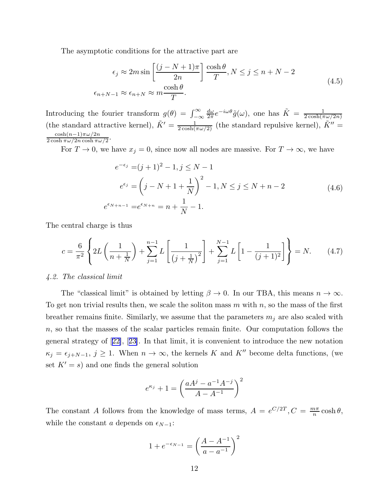The asymptotic conditions for the attractive part are

$$
\epsilon_j \approx 2m \sin \left[ \frac{(j - N + 1)\pi}{2n} \right] \frac{\cosh \theta}{T}, N \le j \le n + N - 2
$$
\n
$$
\epsilon_{n+N-1} \approx \epsilon_{n+N} \approx m \frac{\cosh \theta}{T}.
$$
\n(4.5)

Introducing the fourier transform  $g(\theta) = \int_{-\infty}^{\infty}$  $d\omega$  $\frac{d\omega}{2\pi}e^{-i\omega\theta}\tilde{g}(\omega)$ , one has  $\tilde{K}=\frac{1}{2\cosh(\pi\theta)}$  $2\cosh(\pi\omega/2n)$ (the standard attractive kernel),  $\tilde{K}' = \frac{1}{2 \cosh(\pi \omega/2)}$  (the standard repulsive kernel),  $\tilde{K}'' =$  $\frac{\cosh(n-1)\pi\omega/2n}{2\cosh\pi\omega/2n\cosh\pi\omega/2}$ .

For  $T \to 0$ , we have  $x_j = 0$ , since now all nodes are massive. For  $T \to \infty$ , we have

$$
e^{-\epsilon_j} = (j+1)^2 - 1, j \le N - 1
$$
  
\n
$$
e^{\epsilon_j} = \left(j - N + 1 + \frac{1}{N}\right)^2 - 1, N \le j \le N + n - 2
$$
  
\n
$$
\epsilon_{N+n-1} = e^{\epsilon_{N+n}} = n + \frac{1}{N} - 1.
$$
\n(4.6)

The central charge is thus

 $e^{\epsilon}$ 

$$
c = \frac{6}{\pi^2} \left\{ 2L\left(\frac{1}{n + \frac{1}{N}}\right) + \sum_{j=1}^{n-1} L\left[\frac{1}{\left(j + \frac{1}{N}\right)^2}\right] + \sum_{j=1}^{N-1} L\left[1 - \frac{1}{\left(j + 1\right)^2}\right] \right\} = N. \tag{4.7}
$$

#### 4.2. The classical limit

The "classical limit" is obtained by letting  $\beta \to 0$ . In our TBA, this means  $n \to \infty$ . To get non trivial results then, we scale the soliton mass  $m$  with  $n$ , so the mass of the first breather remains finite. Similarly, we assume that the parameters  $m_j$  are also scaled with n, so that the masses of the scalar particles remain finite. Our computation follows the general strategy of[[22\]](#page-27-0),[[23\]](#page-27-0). In that limit, it is convenient to introduce the new notation  $\kappa_j = \epsilon_{j+N-1}, j \ge 1$ . When  $n \to \infty$ , the kernels K and K'' become delta functions, (we set  $K' = s$  and one finds the general solution

$$
e^{\kappa_j} + 1 = \left(\frac{aA^j - a^{-1}A^{-j}}{A - A^{-1}}\right)^2
$$

The constant A follows from the knowledge of mass terms,  $A = e^{C/2T}$ ,  $C = \frac{m\pi}{n}$  $\frac{n\pi}{n} \cosh \theta,$ while the constant a depends on  $\epsilon_{N-1}$ :

$$
1 + e^{-\epsilon_{N-1}} = \left(\frac{A - A^{-1}}{a - a^{-1}}\right)^2
$$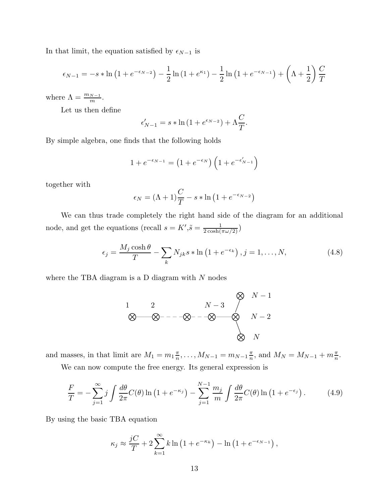<span id="page-13-0"></span>In that limit, the equation satisfied by  $\epsilon_{N-1}$  is

$$
\epsilon_{N-1} = -s * \ln(1 + e^{-\epsilon_{N-2}}) - \frac{1}{2} \ln(1 + e^{-\epsilon_{N-1}}) - \frac{1}{2} \ln(1 + e^{-\epsilon_{N-1}}) + \left(\Lambda + \frac{1}{2}\right) \frac{C}{T}
$$

where  $\Lambda = \frac{m_{N-1}}{m}$ .

Let us then define

$$
\epsilon'_{N-1} = s * \ln\left(1 + e^{\epsilon_{N-2}}\right) + \Lambda \frac{C}{T}.
$$

By simple algebra, one finds that the following holds

$$
1 + e^{-\epsilon_{N-1}} = \left(1 + e^{-\epsilon_N}\right)\left(1 + e^{-\epsilon'_{N-1}}\right)
$$

together with

$$
\epsilon_N = (\Lambda + 1)\frac{C}{T} - s * \ln(1 + e^{-\epsilon_{N-2}})
$$

We can thus trade completely the right hand side of the diagram for an additional node, and get the equations (recall  $s = K', \tilde{s} = \frac{1}{2 \cosh(\pi \omega/2)}$ )

$$
\epsilon_j = \frac{M_j \cosh \theta}{T} - \sum_k N_{jk} s * \ln \left( 1 + e^{-\epsilon_k} \right), j = 1, \dots, N,
$$
\n(4.8)

where the TBA diagram is a D diagram with  $N$  nodes

$$
\begin{array}{ccc}\n1 & 2 & N-3 & N-1 \\
& \bigotimes & N-2 & N-2 \\
& & & \bigotimes & N-2 \\
& & & \bigotimes & N\n\end{array}
$$

and masses, in that limit are  $M_1 = m_1 \frac{\pi}{n}$  $\frac{\pi}{n}, \ldots, M_{N-1} = m_{N-1} \frac{\pi}{n}$  $\frac{\pi}{n}$ , and  $M_N = M_{N-1} + m\frac{\pi}{n}$ .

We can now compute the free energy. Its general expression is

$$
\frac{F}{T} = -\sum_{j=1}^{\infty} j \int \frac{d\theta}{2\pi} C(\theta) \ln\left(1 + e^{-\kappa_j}\right) - \sum_{j=1}^{N-1} \frac{m_j}{m} \int \frac{d\theta}{2\pi} C(\theta) \ln\left(1 + e^{-\epsilon_j}\right). \tag{4.9}
$$

By using the basic TBA equation

$$
\kappa_j \approx \frac{jC}{T} + 2\sum_{k=1}^{\infty} k \ln(1 + e^{-\kappa_k}) - \ln(1 + e^{-\epsilon_{N-1}}),
$$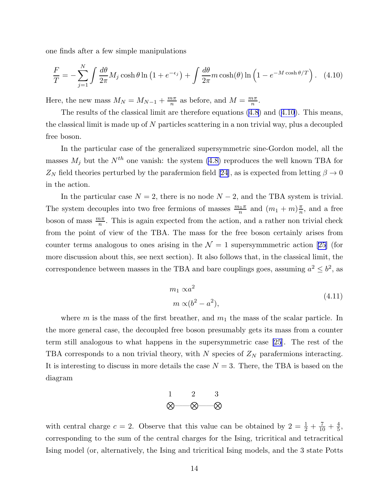one finds after a few simple manipulations

$$
\frac{F}{T} = -\sum_{j=1}^{N} \int \frac{d\theta}{2\pi} M_j \cosh\theta \ln\left(1 + e^{-\epsilon_j}\right) + \int \frac{d\theta}{2\pi} m \cosh(\theta) \ln\left(1 - e^{-M \cosh(\theta/T)}\right). \tag{4.10}
$$

Here, the new mass  $M_N = M_{N-1} + \frac{m\pi}{n}$  $\frac{n\pi}{n}$  as before, and  $M = \frac{m\pi}{n}$  $\frac{n\pi}{n}$ .

The results of the classical limit are therefore equations([4.8](#page-13-0)) and (4.10). This means, the classical limit is made up of  $N$  particles scattering in a non trivial way, plus a decoupled free boson.

In the particular case of the generalized supersymmetric sine-Gordon model, all the masses  $M_j$  but the  $N^{th}$  one vanish: the system [\(4.8\)](#page-13-0) reproduces the well known TBA for  $Z_N$ field theories perturbed by the parafermion field [[24](#page-27-0)], as is expected from letting  $\beta \to 0$ in the action.

In the particular case  $N = 2$ , there is no node  $N - 2$ , and the TBA system is trivial. The system decouples into two free fermions of masses  $\frac{m_1\pi}{n}$  and  $(m_1+m)\frac{\pi}{n}$  $\frac{\pi}{n}$ , and a free boson of mass  $\frac{m\pi}{n}$ . This is again expected from the action, and a rather non trivial check from the point of view of the TBA. The mass for the free boson certainly arises from counter terms analogous to ones arising in the  $\mathcal{N}=1$  supersymmmetric action [\[25](#page-27-0)] (for more discussion about this, see next section). It also follows that, in the classical limit, the correspondence between masses in the TBA and bare couplings goes, assuming  $a^2 \leq b^2$ , as

$$
m_1 \propto a^2
$$
  
\n
$$
m \propto (b^2 - a^2),
$$
\n(4.11)

where m is the mass of the first breather, and  $m_1$  the mass of the scalar particle. In the more general case, the decoupled free boson presumably gets its mass from a counter term still analogous to what happens in the supersymmetric case [\[25](#page-27-0)]. The rest of the TBA corresponds to a non trivial theory, with  $N$  species of  $Z_N$  parafermions interacting. It is interesting to discuss in more details the case  $N = 3$ . There, the TBA is based on the diagram

$$
\begin{array}{cc}\n1 & 2 & 3 \\
\otimes & \otimes & \otimes\n\end{array}
$$

with central charge  $c = 2$ . Observe that this value can be obtained by  $2 = \frac{1}{2} + \frac{7}{10} + \frac{4}{5}$  $\frac{4}{5}$ , corresponding to the sum of the central charges for the Ising, tricritical and tetracritical Ising model (or, alternatively, the Ising and tricritical Ising models, and the 3 state Potts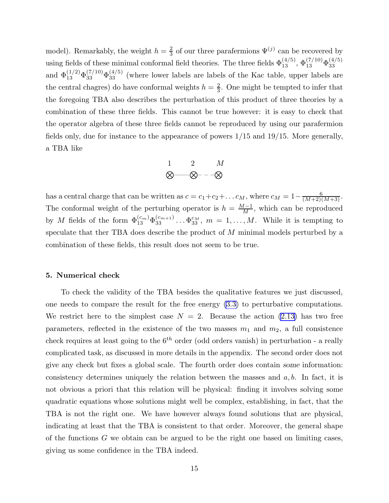model). Remarkably, the weight  $h=\frac{2}{3}$  $\frac{2}{3}$  of our three parafermions  $\Psi^{(j)}$  can be recovered by using fields of these minimal conformal field theories. The three fields  $\Phi_{13}^{(4/5)}$ ,  $\Phi_{13}^{(7/10)}\Phi_{33}^{(4/5)}$ 33 and  $\Phi_{13}^{(1/2)}\Phi_{33}^{(7/10)}\Phi_{33}^{(4/5)}$  (where lower labels are labels of the Kac table, upper labels are the central chagres) do have conformal weights  $h = \frac{2}{3}$  $\frac{2}{3}$ . One might be tempted to infer that the foregoing TBA also describes the perturbation of this product of three theories by a combination of these three fields. This cannot be true however: it is easy to check that the operator algebra of these three fields cannot be reproduced by using our parafermion fields only, due for instance to the appearance of powers  $1/15$  and  $19/15$ . More generally, a TBA like

$$
\begin{matrix} 1 & 2 & M \\ \bigotimes \hspace{-0.6cm} \bigotimes -\hspace{-0.6cm} \bigotimes -\hspace{-0.6cm} -\hspace{-0.6cm} \bigotimes \hspace{-0.6cm} \bigotimes \hspace{-0.6cm} \bigotimes \hspace{-0.6cm} \bigotimes \hspace{-0.6cm} \bigotimes \hspace{-0.6cm} \bigotimes \hspace{-0.6cm} \bigotimes \hspace{-0.6cm} \bigotimes \hspace{-0.6cm} \bigotimes \hspace{-0.6cm} \bigotimes \hspace{-0.6cm} \bigotimes \hspace{-0.6cm} \bigotimes \hspace{-0.6cm} \bigotimes \hspace{-0.6cm} \bigotimes \hspace{-0.6cm} \bigotimes \hspace{-0.6cm} \bigotimes \hspace{-0.6cm} \bigotimes \hspace{-0.6cm} \bigotimes \hspace{-0.6cm} \bigotimes \hspace{-0.6cm} \bigotimes \hspace{-0.6cm} \bigotimes \hspace{-0.6cm} \bigotimes \hspace{-0.6cm} \bigotimes \hspace{-0.6cm} \bigotimes \hspace{-0.6cm} \bigotimes \hspace{-0.6cm} \bigotimes \hspace{-0.6cm} \bigotimes \hspace{-0.6cm} \bigotimes \hspace{-0.6cm} \bigotimes \hspace{-0.6cm} \bigotimes \hspace{-0.6cm} \bigotimes \hspace{-0.6cm} \bigotimes \hspace{-0.6cm} \bigotimes \hspace{-0.6cm} \bigotimes \hspace{-0.6cm} \bigotimes \hspace{-0.6cm} \bigotimes \hspace{-0.6cm} \bigotimes \hspace{-0.6cm} \bigotimes \hspace{-0.6cm} \bigotimes \hspace{-0.6cm} \bigotimes \hspace{-0.6cm} \bigotimes \hspace{-0.6cm} \bigotimes \hspace{-0.6cm} \bigotimes \hspace{-0.6cm} \bigotimes \hspace{-0.6cm} \bigotimes \hspace{-0.6cm} \bigotimes \hspace{-0.6cm} \bigotimes \hspace{-0.6cm} \bigotimes \hspace{-0.6cm} \bigotimes \hspace{-0.6cm} \bigotimes \hspace{-0.6cm} \bigotimes \hspace{-0.6cm} \bigotimes \hspace{-0.6cm} \bigotimes \hspace{-0.6cm} \bigotimes \hspace
$$

has a central charge that can be written as  $c = c_1 + c_2 + \ldots + c_M$ , where  $c_M = 1 - \frac{6}{(M+2)(M+3)}$ . The conformal weight of the perturbing operator is  $h = \frac{M-1}{M}$ , which can be reproduced by M fields of the form  $\Phi_{13}^{(c_m)}\Phi_{33}^{(c_{m+1})}\dots\Phi_{33}^{c_M}$ ,  $m=1,\dots,M$ . While it is tempting to speculate that ther TBA does describe the product of M minimal models perturbed by a combination of these fields, this result does not seem to be true.

#### 5. Numerical check

To check the validity of the TBA besides the qualitative features we just discussed, one needs to compare the result for the free energy [\(3.3\)](#page-8-0) to perturbative computations. We restrict here to the simplest case  $N = 2$ . Because the action [\(2.13\)](#page-4-0) has two free parameters, reflected in the existence of the two masses  $m_1$  and  $m_2$ , a full consistence check requires at least going to the  $6<sup>th</sup>$  order (odd orders vanish) in perturbation - a really complicated task, as discussed in more details in the appendix. The second order does not give any check but fixes a global scale. The fourth order does contain some information: consistency determines uniquely the relation between the masses and  $a, b$ . In fact, it is not obvious a priori that this relation will be physical: finding it involves solving some quadratic equations whose solutions might well be complex, establishing, in fact, that the TBA is not the right one. We have however always found solutions that are physical, indicating at least that the TBA is consistent to that order. Moreover, the general shape of the functions  $G$  we obtain can be argued to be the right one based on limiting cases, giving us some confidence in the TBA indeed.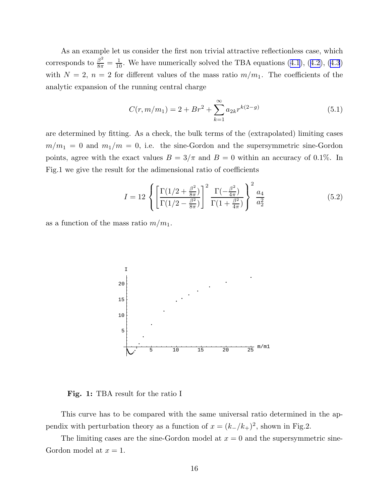As an example let us consider the first non trivial attractive reflectionless case, which correspondsto  $\frac{\beta^2}{8\pi} = \frac{1}{10}$ . We have numerically solved the TBA equations ([4.1](#page-11-0)), ([4.2\)](#page-11-0), [\(4.3](#page-11-0)) with  $N = 2$ ,  $n = 2$  for different values of the mass ratio  $m/m_1$ . The coefficients of the analytic expansion of the running central charge

$$
C(r, m/m_1) = 2 + Br^2 + \sum_{k=1}^{\infty} a_{2k} r^{k(2-g)}
$$
\n(5.1)

are determined by fitting. As a check, the bulk terms of the (extrapolated) limiting cases  $m/m_1 = 0$  and  $m_1/m = 0$ , i.e. the sine-Gordon and the supersymmetric sine-Gordon points, agree with the exact values  $B = 3/\pi$  and  $B = 0$  within an accuracy of 0.1%. In Fig.1 we give the result for the adimensional ratio of coefficients

$$
I = 12 \left\{ \left[ \frac{\Gamma(1/2 + \frac{\beta^2}{8\pi})}{\Gamma(1/2 - \frac{\beta^2}{8\pi})} \right]^2 \frac{\Gamma(-\frac{\beta^2}{4\pi})}{\Gamma(1 + \frac{\beta^2}{4\pi})} \right\}^2 \frac{a_4}{a_2^2}
$$
(5.2)

as a function of the mass ratio  $m/m_1$ .



Fig. 1: TBA result for the ratio I

This curve has to be compared with the same universal ratio determined in the appendix with perturbation theory as a function of  $x = (k_-/k_+)^2$ , shown in Fig.2.

The limiting cases are the sine-Gordon model at  $x = 0$  and the supersymmetric sine-Gordon model at  $x = 1$ .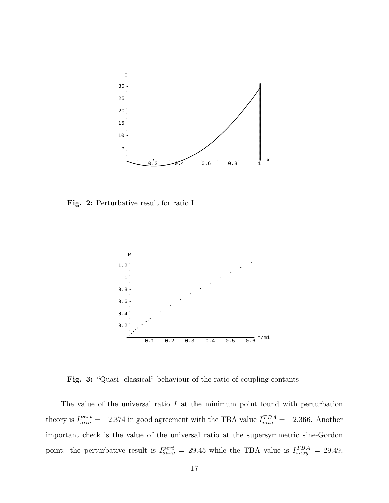

Fig. 2: Perturbative result for ratio I



Fig. 3: "Quasi- classical" behaviour of the ratio of coupling contants

The value of the universal ratio  $I$  at the minimum point found with perturbation theory is  $I_{min}^{pert} = -2.374$  in good agreement with the TBA value  $I_{min}^{TBA} = -2.366$ . Another important check is the value of the universal ratio at the supersymmetric sine-Gordon point: the perturbative result is  $I_{susy}^{pert} = 29.45$  while the TBA value is  $I_{susy}^{TBA} = 29.49$ ,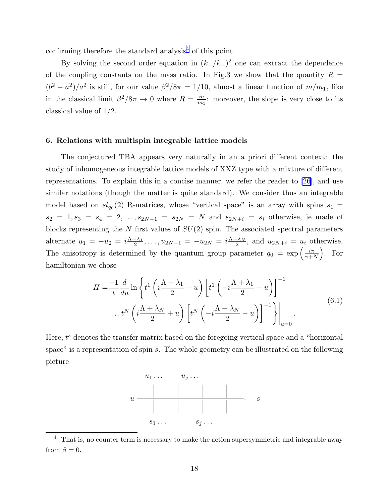confirming therefore the standard analysis<sup>4</sup> of this point

By solving the second order equation in  $(k_-/k_+)^2$  one can extract the dependence of the coupling constants on the mass ratio. In Fig.3 we show that the quantity  $R =$  $(b^2 - a^2)/a^2$  is still, for our value  $\beta^2/8\pi = 1/10$ , almost a linear function of  $m/m_1$ , like in the classical limit  $\beta^2/8\pi \to 0$  where  $R = \frac{m}{m_1}$  $\frac{m}{m_1}$ : moreover, the slope is very close to its classical value of 1/2.

#### 6. Relations with multispin integrable lattice models

The conjectured TBA appears very naturally in an a priori different context: the study of inhomogeneous integrable lattice models of XXZ type with a mixture of different representations. To explain this in a concise manner, we refer the reader to[[26](#page-27-0)], and use similar notations (though the matter is quite standard). We consider thus an integrable model based on  $sl_{q_0}(2)$  R-matrices, whose "vertical space" is an array with spins  $s_1 =$  $s_2 = 1, s_3 = s_4 = 2, \ldots, s_{2N-1} = s_{2N} = N$  and  $s_{2N+i} = s_i$  otherwise, ie made of blocks representing the  $N$  first values of  $SU(2)$  spin. The associated spectral parameters alternate  $u_1 = -u_2 = i \frac{\Lambda + \lambda_1}{2}$  $\frac{+\lambda_1}{2}, \ldots, u_{2N-1} = -u_{2N} = i \frac{\Lambda + \lambda_N}{2}$  $\frac{d^2N}{2}$ , and  $u_{2N+i} = u_i$  otherwise. The anisotropy is determined by the quantum group parameter  $q_0 = \exp\left(\frac{i\pi}{\gamma + i}\right)$  $_{\gamma+N}$  $\big)$ . For hamiltonian we chose

$$
H = \frac{-1}{t} \frac{d}{du} \ln \left\{ t^1 \left( i \frac{\Lambda + \lambda_1}{2} + u \right) \left[ t^1 \left( -i \frac{\Lambda + \lambda_1}{2} - u \right) \right]^{-1} \dots t^N \left( i \frac{\Lambda + \lambda_N}{2} + u \right) \left[ t^N \left( -i \frac{\Lambda + \lambda_N}{2} - u \right) \right]^{-1} \right\} \Big|_{u=0}.
$$
\n(6.1)

Here,  $t^s$  denotes the transfer matrix based on the foregoing vertical space and a "horizontal" space" is a representation of spin s. The whole geometry can be illustrated on the following picture



 $4$  That is, no counter term is necessary to make the action supersymmetric and integrable away from  $\beta = 0$ .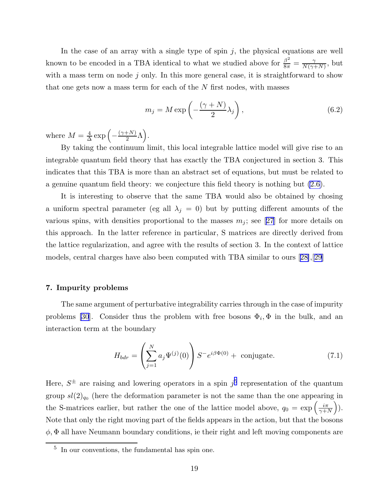In the case of an array with a single type of spin  $j$ , the physical equations are well known to be encoded in a TBA identical to what we studied above for  $\frac{\beta^2}{8\pi} = \frac{\gamma}{N(\gamma - 1)}$  $\frac{\gamma}{N(\gamma+N)}$ , but with a mass term on node  $j$  only. In this more general case, it is straightforward to show that one gets now a mass term for each of the  $N$  first nodes, with masses

$$
m_j = M \exp\left(-\frac{(\gamma + N)}{2}\lambda_j\right),\tag{6.2}
$$

where  $M=\frac{4}{\Delta}$  $\frac{4}{\Delta} \exp \left(-\frac{(\gamma+N)}{2} \Lambda\right).$ 

By taking the continuum limit, this local integrable lattice model will give rise to an integrable quantum field theory that has exactly the TBA conjectured in section 3. This indicates that this TBA is more than an abstract set of equations, but must be related to a genuine quantum field theory: we conjecture this field theory is nothing but [\(2.6\)](#page-2-0).

It is interesting to observe that the same TBA would also be obtained by chosing a uniform spectral parameter (eg all  $\lambda_j = 0$ ) but by putting different amounts of the variousspins, with densities proportional to the masses  $m_j$ ; see [[27](#page-27-0)] for more details on this approach. In the latter reference in particular, S matrices are directly derived from the lattice regularization, and agree with the results of section 3. In the context of lattice models, central charges have also been computed with TBA similar to ours[[28\]](#page-27-0),[[29\]](#page-27-0)

### 7. Impurity problems

The same argument of perturbative integrability carries through in the case of impurity problems [\[30](#page-27-0)]. Consider thus the problem with free bosons  $\Phi_i$ ,  $\Phi$  in the bulk, and an interaction term at the boundary

$$
H_{bdr} = \left(\sum_{j=1}^{N} a_j \Psi^{(j)}(0)\right) S^{-} e^{i\beta \Phi(0)} + \text{ conjugate.}
$$
 (7.1)

Here,  $S^{\pm}$  are raising and lowering operators in a spin  $j^5$  representation of the quantum group  $sl(2)_{q_0}$  (here the deformation parameter is not the same than the one appearing in the S-matrices earlier, but rather the one of the lattice model above,  $q_0 = \exp\left(\frac{i\pi}{\gamma + i}\right)$  $\gamma+N$  ). Note that only the right moving part of the fields appears in the action, but that the bosons  $\phi$ ,  $\Phi$  all have Neumann boundary conditions, ie their right and left moving components are

<sup>5</sup> In our conventions, the fundamental has spin one.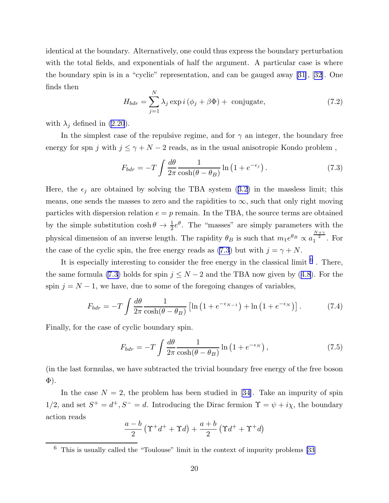<span id="page-20-0"></span>identical at the boundary. Alternatively, one could thus express the boundary perturbation with the total fields, and exponentials of half the argument. A particular case is where the boundary spin is in a "cyclic" representation, and can be gauged away[[31\]](#page-27-0),[[32\]](#page-27-0). One finds then

$$
H_{bdr} = \sum_{j=1}^{N} \lambda_j \exp i \left( \phi_j + \beta \Phi \right) + \text{ conjugate}, \tag{7.2}
$$

with  $\lambda_j$  defined in [\(2.20](#page-6-0)).

In the simplest case of the repulsive regime, and for  $\gamma$  an integer, the boundary free energy for spn j with  $j \leq \gamma + N - 2$  reads, as in the usual anisotropic Kondo problem,

$$
F_{bdr} = -T \int \frac{d\theta}{2\pi} \frac{1}{\cosh(\theta - \theta_B)} \ln(1 + e^{-\epsilon_j}). \tag{7.3}
$$

Here,the  $\epsilon_j$  are obtained by solving the TBA system ([3.2](#page-8-0)) in the massless limit; this means, one sends the masses to zero and the rapidities to  $\infty$ , such that only right moving particles with dispersion relation  $e = p$  remain. In the TBA, the source terms are obtained by the simple substitution  $\cosh \theta \to \frac{1}{2} e^{\theta}$ . The "masses" are simply parameters with the physical dimension of an inverse length. The rapidity  $\theta_B$  is such that  $m_1 e^{\theta_B} \propto a_1^{\frac{N+\gamma}{2}}$ . For the case of the cyclic spin, the free energy reads as (7.3) but with  $j = \gamma + N$ .

It is especially interesting to consider the free energy in the classical limit  $<sup>6</sup>$ . There,</sup> thesame formula (7.3) holds for spin  $j \leq N-2$  and the TBA now given by ([4.8](#page-13-0)). For the spin  $j = N - 1$ , we have, due to some of the foregoing changes of variables,

$$
F_{bdr} = -T \int \frac{d\theta}{2\pi} \frac{1}{\cosh(\theta - \theta_B)} \left[ \ln\left(1 + e^{-\epsilon_{N-1}}\right) + \ln\left(1 + e^{-\epsilon_N}\right) \right]. \tag{7.4}
$$

Finally, for the case of cyclic boundary spin.

$$
F_{bdr} = -T \int \frac{d\theta}{2\pi} \frac{1}{\cosh(\theta - \theta_B)} \ln\left(1 + e^{-\epsilon_N}\right),\tag{7.5}
$$

(in the last formulas, we have subtracted the trivial boundary free energy of the free boson Φ).

Inthe case  $N = 2$ , the problem has been studied in [[34\]](#page-27-0). Take an impurity of spin 1/2, and set  $S^+ = d^+, S^- = d$ . Introducing the Dirac fermion  $\Upsilon = \psi + i\chi$ , the boundary action reads

$$
\frac{a-b}{2} \left(\Upsilon^+d^+ + \Upsilon d\right) + \frac{a+b}{2} \left(\Upsilon d^+ + \Upsilon^+d\right)
$$

 $6$  This is usually called the "Toulouse" limit in the context of impurity problems [\[33](#page-27-0)]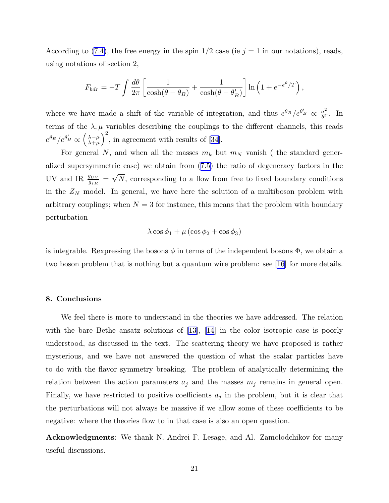According to [\(7.4\)](#page-20-0), the free energy in the spin  $1/2$  case (ie  $j = 1$  in our notations), reads, using notations of section 2,

$$
F_{bdr} = -T \int \frac{d\theta}{2\pi} \left[ \frac{1}{\cosh(\theta - \theta_B)} + \frac{1}{\cosh(\theta - \theta'_B)} \right] \ln\left(1 + e^{-e^{\theta}/T}\right),\,
$$

where we have made a shift of the variable of integration, and thus  $e^{\theta_B}/e^{\theta'_B} \propto \frac{a^2}{b^2}$  $\frac{a^2}{b^2}$ . In terms of the  $\lambda, \mu$  variables describing the couplings to the different channels, this reads  $e^{\theta_B}/e^{\theta'_B} \propto$  $\left(\frac{\lambda-\mu}{\lambda+\mu}\right)$  $\big)^2$ ,in agreement with results of [[34\]](#page-27-0).

For general N, and when all the masses  $m_k$  but  $m_N$  vanish (the standard generalized supersymmetric case) we obtain from([7.5](#page-20-0)) the ratio of degeneracy factors in the UV and IR  $\frac{g_{UV}}{g_{IR}} = \sqrt{N}$ , corresponding to a flow from free to fixed boundary conditions in the  $Z_N$  model. In general, we have here the solution of a multiboson problem with arbitrary couplings; when  $N = 3$  for instance, this means that the problem with boundary perturbation

$$
\lambda \cos \phi_1 + \mu \left( \cos \phi_2 + \cos \phi_3 \right)
$$

is integrable. Rexpressing the bosons  $\phi$  in terms of the independent bosons  $\Phi$ , we obtain a two boson problem that is nothing but a quantum wire problem: see [\[16](#page-27-0)] for more details.

# 8. Conclusions

We feel there is more to understand in the theories we have addressed. The relation with the bare Bethe ansatz solutions of [\[13](#page-27-0)], [\[14](#page-27-0)] in the color isotropic case is poorly understood, as discussed in the text. The scattering theory we have proposed is rather mysterious, and we have not answered the question of what the scalar particles have to do with the flavor symmetry breaking. The problem of analytically determining the relation between the action parameters  $a_j$  and the masses  $m_j$  remains in general open. Finally, we have restricted to positive coefficients  $a_j$  in the problem, but it is clear that the perturbations will not always be massive if we allow some of these coefficients to be negative: where the theories flow to in that case is also an open question.

Acknowledgments: We thank N. Andrei F. Lesage, and Al. Zamolodchikov for many useful discussions.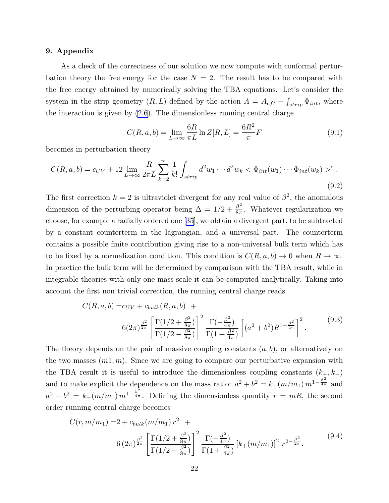# 9. Appendix

As a check of the correctness of our solution we now compute with conformal perturbation theory the free energy for the case  $N = 2$ . The result has to be compared with the free energy obtained by numerically solving the TBA equations. Let's consider the system in the strip geometry  $(R, L)$  defined by the action  $A = A_{cft} - \int_{strip} \Phi_{int}$ , where the interaction is given by  $(2.6)$ . The dimensionless running central charge

$$
C(R, a, b) = \lim_{L \to \infty} \frac{6R}{\pi L} \ln Z[R, L] = \frac{6R^2}{\pi} F
$$
\n
$$
(9.1)
$$

becomes in perturbation theory

$$
C(R, a, b) = c_{UV} + 12 \lim_{L \to \infty} \frac{R}{2\pi L} \sum_{k=2}^{\infty} \frac{1}{k!} \int_{strip} d^2w_1 \cdots d^2w_k < \Phi_{int}(w_1) \cdots \Phi_{int}(w_k) >^c.
$$
\n(9.2)

The first correction  $k = 2$  is ultraviolet divergent for any real value of  $\beta^2$ , the anomalous dimension of the perturbing operator being  $\Delta = 1/2 + \frac{\beta^2}{8\pi}$  $\frac{\beta^2}{8\pi}$ . Whatever regularization we choose, for example a radially ordered one [\[35](#page-28-0)], we obtain a divergent part, to be subtracted by a constant counterterm in the lagrangian, and a universal part. The counterterm contains a possible finite contribution giving rise to a non-universal bulk term which has to be fixed by a normalization condition. This condition is  $C(R, a, b) \to 0$  when  $R \to \infty$ . In practice the bulk term will be determined by comparison with the TBA result, while in integrable theories with only one mass scale it can be computed analytically. Taking into account the first non trivial correction, the running central charge reads

$$
C(R, a, b) = c_{UV} + c_{bulk}(R, a, b) +
$$
  

$$
6(2\pi)^{\frac{\beta^2}{2\pi}} \left[ \frac{\Gamma(1/2 + \frac{\beta^2}{8\pi})}{\Gamma(1/2 - \frac{\beta^2}{8\pi})} \right]^2 \frac{\Gamma(-\frac{\beta^2}{4\pi})}{\Gamma(1 + \frac{\beta^2}{4\pi})} \left[ (a^2 + b^2) R^{1 - \frac{\beta^2}{4\pi}} \right]^2.
$$
 (9.3)

The theory depends on the pair of massive coupling constants  $(a, b)$ , or alternatively on the two masses  $(m1, m)$ . Since we are going to compare our perturbative expansion with the TBA result it is useful to introduce the dimensionless coupling constants  $(k_{\pm}, k_{-})$ and to make explicit the dependence on the mass ratio:  $a^2 + b^2 = k_+(m/m_1) m^{1-\frac{\beta^2}{4\pi}}$  and  $a^2 - b^2 = k_-(m/m_1) m^{1-\frac{\beta^2}{4\pi}}$ . Defining the dimensionless quantity  $r = mR$ , the second order running central charge becomes

$$
C(r, m/m_1) = 2 + c_{bulk}(m/m_1) r^2 +
$$
  
6  $(2\pi)^{\frac{\beta^2}{2\pi}} \left[ \frac{\Gamma(1/2 + \frac{\beta^2}{8\pi})}{\Gamma(1/2 - \frac{\beta^2}{8\pi})} \right]^2 \frac{\Gamma(-\frac{\beta^2}{4\pi})}{\Gamma(1 + \frac{\beta^2}{4\pi})} [k_{+}(m/m_1)]^2 r^{2 - \frac{\beta^2}{2\pi}}.$  (9.4)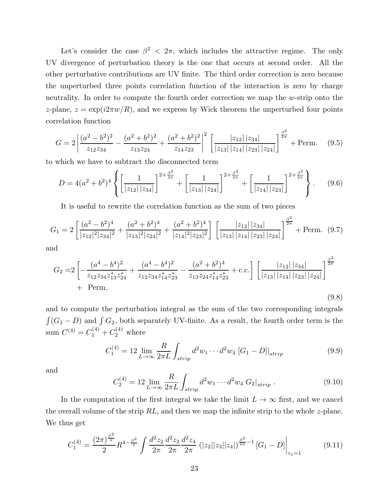Let's consider the case  $\beta^2$  <  $2\pi$ , which includes the attractive regime. The only UV divergence of perturbation theory is the one that occurs at second order. All the other perturbative contributions are UV finite. The third order correction is zero because the unperturbed three points correlation function of the interaction is zero by charge neutrality. In order to compute the fourth order correction we map the w-strip onto the z-plane,  $z = \exp(i2\pi w/R)$ , and we express by Wick theorem the unperturbed four points correlation function

$$
G = 2\left| \frac{(a^2 - b^2)^2}{z_{12}z_{34}} - \frac{(a^2 + b^2)^2}{z_{13}z_{24}} + \frac{(a^2 + b^2)^2}{z_{14}z_{23}} \right|^2 \left[ \frac{|z_{12}| |z_{34}|}{|z_{13}| |z_{14}| |z_{23}| |z_{24}|} \right]^{\frac{\beta^2}{2\pi}} + \text{Perm.} \tag{9.5}
$$

to which we have to subtract the disconnected term

$$
D = 4(a^2 + b^2)^4 \left\{ \left[ \frac{1}{|z_{12}| \, |z_{34}|} \right]^{2 + \frac{\beta^2}{2\pi}} + \left[ \frac{1}{|z_{13}| \, |z_{24}|} \right]^{2 + \frac{\beta^2}{2\pi}} + \left[ \frac{1}{|z_{14}| \, |z_{23}|} \right]^{2 + \frac{\beta^2}{2\pi}} \right\}.
$$
 (9.6)

It is useful to rewrite the correlation function as the sum of two pieces

$$
G_1 = 2\left[\frac{(a^2 - b^2)^4}{|z_{12}|^2 |z_{34}|^2} + \frac{(a^2 + b^2)^4}{|z_{13}|^2 |z_{24}|^2} + \frac{(a^2 + b^2)^4}{|z_{14}|^2 |z_{23}|^2}\right] \left[\frac{|z_{12}| |z_{34}|}{|z_{13}| |z_{14}| |z_{23}| |z_{24}|}\right]^{\frac{\beta^2}{2\pi}} + \text{Perm.} \tag{9.7}
$$

and

$$
G_2 = 2 \left[ -\frac{(a^4 - b^4)^2}{z_{12} z_{34} z_{13}^* z_{24}^*} + \frac{(a^4 - b^4)^2}{z_{12} z_{34} z_{14}^* z_{23}^*} - \frac{(a^2 + b^2)^4}{z_{13} z_{24} z_{14}^* z_{23}^*} + \text{c.c.} \right] \left[ \frac{|z_{12}| |z_{34}|}{|z_{13}| |z_{14}| |z_{23}| |z_{24}|} \right]^{\frac{\beta^2}{2\pi}}
$$
  
+ Perm. (9.8)

and to compute the perturbation integral as the sum of the two corresponding integrals  $\int (G_1 - D)$  and  $\int G_2$ , both separately UV-finite. As a result, the fourth order term is the sum  $C^{(4)} = C_1^{(4)} + C_2^{(4)}$  where

$$
C_1^{(4)} = 12 \lim_{L \to \infty} \frac{R}{2\pi L} \int_{strip} d^2 w_1 \cdots d^2 w_4 \left[ G_1 - D \right] \Big|_{strip} \tag{9.9}
$$

and

$$
C_2^{(4)} = 12 \lim_{L \to \infty} \frac{R}{2\pi L} \int_{strip} d^2w_1 \cdots d^2w_4 \ G_2|_{strip} \ . \tag{9.10}
$$

In the computation of the first integral we take the limit  $L \to \infty$  first, and we cancel the overall volume of the strip  $RL$ , and then we map the infinite strip to the whole z-plane. We thus get

$$
C_1^{(4)} = \frac{(2\pi)^{\frac{\beta^2}{\pi}}}{2} R^{4-\frac{\beta^2}{\pi}} \int \frac{d^2 z_2}{2\pi} \frac{d^2 z_3}{2\pi} \frac{d^2 z_4}{2\pi} (|z_2||z_3||z_4|)^{\frac{\beta^2}{4\pi}-1} [G_1 - D] \Big|_{z_1=1}
$$
(9.11)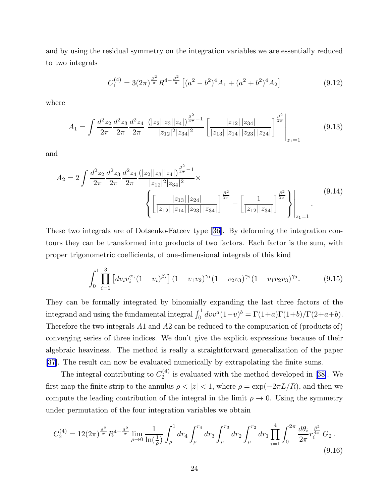and by using the residual symmetry on the integration variables we are essentially reduced to two integrals

$$
C_1^{(4)} = 3(2\pi)^{\frac{\beta^2}{\pi}} R^{4 - \frac{\beta^2}{\pi}} \left[ (a^2 - b^2)^4 A_1 + (a^2 + b^2)^4 A_2 \right]
$$
(9.12)

where

$$
A_1 = \int \frac{d^2 z_2}{2\pi} \frac{d^2 z_3}{2\pi} \frac{d^2 z_4}{2\pi} \frac{\left(|z_2||z_3||z_4|\right)^{\frac{\beta^2}{4\pi}-1}}{|z_{12}|^2 |z_{34}|^2} \left[\frac{|z_{12}| |z_{34}|}{|z_{13}| |z_{14}| |z_{23}| |z_{24}|}\right]^{\frac{\beta^2}{2\pi}}\Bigg|_{z_1=1}
$$
(9.13)

and

$$
A_2 = 2 \int \frac{d^2 z_2}{2\pi} \frac{d^2 z_3}{2\pi} \frac{d^2 z_4}{2\pi} \frac{(|z_2||z_3||z_4|)^{\frac{\beta^2}{4\pi}-1}}{|z_{12}|^2 |z_{34}|^2} \times \left\{ \left[ \frac{|z_{13}| |z_{24}|}{|z_{12}| |z_{14}| |z_{23}| |z_{34}|} \right]^{\frac{\beta^2}{2\pi}} - \left[ \frac{1}{|z_{12}| |z_{34}|} \right]^{\frac{\beta^2}{2\pi}} \right\} \Big|_{z_1=1} \tag{9.14}
$$

These two integrals are of Dotsenko-Fateev type[[36\]](#page-28-0). By deforming the integration contours they can be transformed into products of two factors. Each factor is the sum, with proper trigonometric coefficients, of one-dimensional integrals of this kind

$$
\int_0^1 \prod_{i=1}^3 \left[ dv_i v_i^{\alpha_i} (1 - v_i)^{\beta_i} \right] (1 - v_1 v_2)^{\gamma_1} (1 - v_2 v_3)^{\gamma_2} (1 - v_1 v_2 v_3)^{\gamma_3}.
$$
 (9.15)

They can be formally integrated by binomially expanding the last three factors of the integrand and using the fundamental integral  $\int_0^1 dv v^a (1-v)^b = \Gamma(1+a)\Gamma(1+b)/\Gamma(2+a+b)$ . Therefore the two integrals A1 and A2 can be reduced to the computation of (products of) converging series of three indices. We don't give the explicit expressions because of their algebraic heaviness. The method is really a straightforward generalization of the paper [\[37](#page-28-0)]. The result can now be evaluated numerically by extrapolating the finite sums.

The integral contributing to  $C_2^{(4)}$  $\binom{4}{2}$ is evaluated with the method developed in [[38\]](#page-28-0). We first map the finite strip to the annulus  $\rho < |z| < 1$ , where  $\rho = \exp(-2\pi L/R)$ , and then we compute the leading contribution of the integral in the limit  $\rho \to 0$ . Using the symmetry under permutation of the four integration variables we obtain

$$
C_2^{(4)} = 12(2\pi)^{\frac{\beta^2}{\pi}} R^{4-\frac{\beta^2}{\pi}} \lim_{\rho \to 0} \frac{1}{\ln(\frac{1}{\rho})} \int_{\rho}^1 dr_4 \int_{\rho}^{r_4} dr_3 \int_{\rho}^{r_3} dr_2 \int_{\rho}^{r_2} dr_1 \prod_{i=1}^4 \int_0^{2\pi} \frac{d\theta_i}{2\pi} r_i^{\frac{\beta^2}{4\pi}} G_2 \,. \tag{9.16}
$$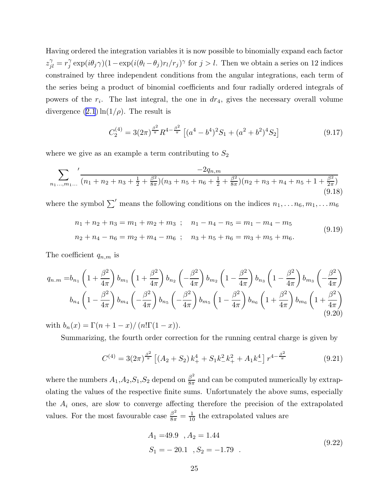Having ordered the integration variables it is now possible to binomially expand each factor  $z_{jl}^{\gamma} = r_j^{\gamma}$  $\int_j^\gamma \exp(i\theta_j\gamma)(1-\exp(i(\theta_l-\theta_j)r_l/r_j)^\gamma \text{ for } j > l.$  Then we obtain a series on 12 indices constrained by three independent conditions from the angular integrations, each term of the series being a product of binomial coefficients and four radially ordered integrals of powers of the  $r_i$ . The last integral, the one in  $dr_4$ , gives the necessary overall volume divergence  $(2.1) \ln(1/\rho)$ . The result is

$$
C_2^{(4)} = 3(2\pi)^{\frac{\beta^2}{\pi}} R^{4 - \frac{\beta^2}{\pi}} \left[ (a^4 - b^4)^2 S_1 + (a^2 + b^2)^4 S_2 \right]
$$
(9.17)

where we give as an example a term contributing to  $S_2$ 

$$
\sum_{n_1,\dots,n_1,\dots} \frac{-2q_{n,m}}{(n_1+n_2+n_3+\frac{1}{2}+\frac{\beta^2}{8\pi})(n_3+n_5+n_6+\frac{1}{2}+\frac{\beta^2}{8\pi})(n_2+n_3+n_4+n_5+1+\frac{\beta^2}{2\pi})}
$$
(9.18)

where the symbol  $\sum'$  means the following conditions on the indices  $n_1, \ldots n_6, m_1, \ldots m_6$ 

$$
n_1 + n_2 + n_3 = m_1 + m_2 + m_3 ; \quad n_1 - n_4 - n_5 = m_1 - m_4 - m_5
$$
  
\n
$$
n_2 + n_4 - n_6 = m_2 + m_4 - m_6 ; \quad n_3 + n_5 + n_6 = m_3 + m_5 + m_6.
$$
\n(9.19)

The coefficient  $q_{n,m}$  is

$$
q_{n,m} = b_{n_1} \left( 1 + \frac{\beta^2}{4\pi} \right) b_{m_1} \left( 1 + \frac{\beta^2}{4\pi} \right) b_{n_2} \left( -\frac{\beta^2}{4\pi} \right) b_{m_2} \left( 1 - \frac{\beta^2}{4\pi} \right) b_{n_3} \left( 1 - \frac{\beta^2}{4\pi} \right) b_{m_3} \left( -\frac{\beta^2}{4\pi} \right)
$$

$$
b_{n_4} \left( 1 - \frac{\beta^2}{4\pi} \right) b_{m_4} \left( -\frac{\beta^2}{4\pi} \right) b_{n_5} \left( -\frac{\beta^2}{4\pi} \right) b_{m_5} \left( 1 - \frac{\beta^2}{4\pi} \right) b_{n_6} \left( 1 + \frac{\beta^2}{4\pi} \right) b_{m_6} \left( 1 + \frac{\beta^2}{4\pi} \right) (9.20)
$$

with  $b_n(x) = \Gamma(n + 1 - x) / (n! \Gamma(1 - x)).$ 

Summarizing, the fourth order correction for the running central charge is given by

$$
C^{(4)} = 3(2\pi)^{\frac{\beta^2}{\pi}} \left[ (A_2 + S_2) k_+^4 + S_1 k_-^2 k_+^2 + A_1 k_-^4 \right] r^{4 - \frac{\beta^2}{\pi}} \tag{9.21}
$$

where the numbers  $A_1, A_2, S_1, S_2$  depend on  $\frac{\beta^2}{8\pi}$  $\frac{\beta}{8\pi}$  and can be computed numerically by extrapolating the values of the respective finite sums. Unfortunately the above sums, especially the  $A_i$  ones, are slow to converge affecting therefore the precision of the extrapolated values. For the most favourable case  $\frac{\beta^2}{8\pi} = \frac{1}{10}$  the extrapolated values are

$$
A_1 = 49.9, A_2 = 1.44
$$
  
\n
$$
S_1 = -20.1, S_2 = -1.79.
$$
\n(9.22)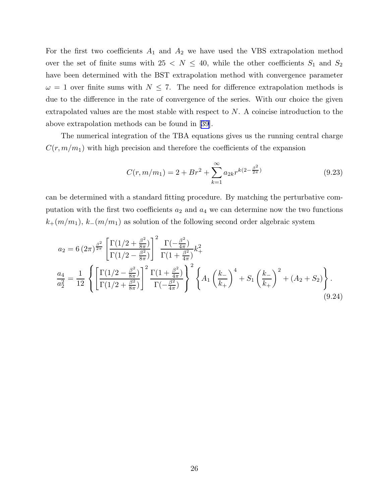For the first two coefficients  $A_1$  and  $A_2$  we have used the VBS extrapolation method over the set of finite sums with  $25 \le N \le 40$ , while the other coefficients  $S_1$  and  $S_2$ have been determined with the BST extrapolation method with convergence parameter  $\omega = 1$  over finite sums with  $N \leq 7$ . The need for difference extrapolation methods is due to the difference in the rate of convergence of the series. With our choice the given extrapolated values are the most stable with respect to N. A coincise introduction to the above extrapolation methods can be found in[[39\]](#page-28-0).

The numerical integration of the TBA equations gives us the running central charge  $C(r, m/m_1)$  with high precision and therefore the coefficients of the expansion

$$
C(r, m/m_1) = 2 + Br^2 + \sum_{k=1}^{\infty} a_{2k} r^{k(2 - \frac{\beta^2}{2\pi})}
$$
\n(9.23)

can be determined with a standard fitting procedure. By matching the perturbative computation with the first two coefficients  $a_2$  and  $a_4$  we can determine now the two functions  $k_{+}(m/m_1), k_{-}(m/m_1)$  as solution of the following second order algebraic system

$$
a_2 = 6 (2\pi)^{\frac{\beta^2}{2\pi}} \left[ \frac{\Gamma(1/2 + \frac{\beta^2}{8\pi})}{\Gamma(1/2 - \frac{\beta^2}{8\pi})} \right]^2 \frac{\Gamma(-\frac{\beta^2}{4\pi})}{\Gamma(1 + \frac{\beta^2}{4\pi})} k_+^2
$$
  

$$
\frac{a_4}{a_2^2} = \frac{1}{12} \left\{ \left[ \frac{\Gamma(1/2 - \frac{\beta^2}{8\pi})}{\Gamma(1/2 + \frac{\beta^2}{8\pi})} \right]^2 \frac{\Gamma(1 + \frac{\beta^2}{4\pi})}{\Gamma(-\frac{\beta^2}{4\pi})} \right\}^2 \left\{ A_1 \left( \frac{k_-}{k_+} \right)^4 + S_1 \left( \frac{k_-}{k_+} \right)^2 + (A_2 + S_2) \right\}.
$$
  
(9.24)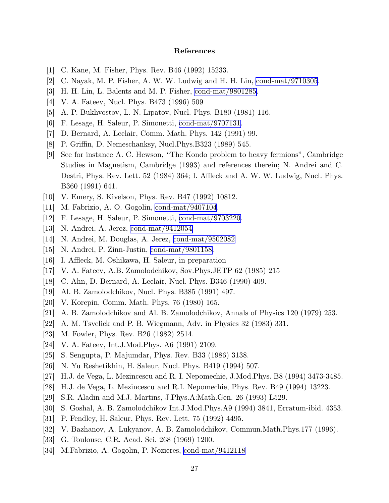# References

- <span id="page-27-0"></span>[1] C. Kane, M. Fisher, Phys. Rev. B46 (1992) 15233.
- [2] C. Nayak, M. P. Fisher, A. W. W. Ludwig and H. H. Lin, [cond-mat/9710305](http://arxiv.org/abs/cond-mat/9710305).
- [3] H. H. Lin, L. Balents and M. P. Fisher, [cond-mat/9801285.](http://arxiv.org/abs/cond-mat/9801285)
- [4] V. A. Fateev, Nucl. Phys. B473 (1996) 509
- [5] A. P. Bukhvostov, L. N. Lipatov, Nucl. Phys. B180 (1981) 116.
- [6] F. Lesage, H. Saleur, P. Simonetti, [cond-mat/9707131.](http://arxiv.org/abs/cond-mat/9707131)
- [7] D. Bernard, A. Leclair, Comm. Math. Phys. 142 (1991) 99.
- [8] P. Griffin, D. Nemeschanksy, Nucl.Phys.B323 (1989) 545.
- [9] See for instance A. C. Hewson, "The Kondo problem to heavy fermions", Cambridge Studies in Magnetism, Cambridge (1993) and references therein; N. Andrei and C. Destri, Phys. Rev. Lett. 52 (1984) 364; I. Affleck and A. W. W. Ludwig, Nucl. Phys. B360 (1991) 641.
- [10] V. Emery, S. Kivelson, Phys. Rev. B47 (1992) 10812.
- [11] M. Fabrizio, A. O. Gogolin, [cond-mat/9407104](http://arxiv.org/abs/cond-mat/9407104).
- [12] F. Lesage, H. Saleur, P. Simonetti, [cond-mat/9703220.](http://arxiv.org/abs/cond-mat/9703220)
- [13] N. Andrei, A. Jerez, [cond-mat/9412054](http://arxiv.org/abs/cond-mat/9412054)
- [14] N. Andrei, M. Douglas, A. Jerez, [cond-mat/9502082](http://arxiv.org/abs/cond-mat/9502082)
- [15] N. Andrei, P. Zinn-Justin, [cond-mat/9801158.](http://arxiv.org/abs/cond-mat/9801158)
- [16] I. Affleck, M. Oshikawa, H. Saleur, in preparation
- [17] V. A. Fateev, A.B. Zamolodchikov, Sov.Phys.JETP 62 (1985) 215
- [18] C. Ahn, D. Bernard, A. Leclair, Nucl. Phys. B346 (1990) 409.
- [19] Al. B. Zamolodchikov, Nucl. Phys. B385 (1991) 497.
- [20] V. Korepin, Comm. Math. Phys. 76 (1980) 165.
- [21] A. B. Zamolodchikov and Al. B. Zamolodchikov, Annals of Physics 120 (1979) 253.
- [22] A. M. Tsvelick and P. B. Wiegmann, Adv. in Physics 32 (1983) 331.
- [23] M. Fowler, Phys. Rev. B26 (1982) 2514.
- [24] V. A. Fateev, Int.J.Mod.Phys. A6 (1991) 2109.
- [25] S. Sengupta, P. Majumdar, Phys. Rev. B33 (1986) 3138.
- [26] N. Yu Reshetikhin, H. Saleur, Nucl. Phys. B419 (1994) 507.
- [27] H.J. de Vega, L. Mezincescu and R. I. Nepomechie, J.Mod.Phys. B8 (1994) 3473-3485.
- [28] H.J. de Vega, L. Mezincescu and R.I. Nepomechie, Phys. Rev. B49 (1994) 13223.
- [29] S.R. Aladin and M.J. Martins, J.Phys.A:Math.Gen. 26 (1993) L529.
- [30] S. Goshal, A. B. Zamolodchikov Int.J.Mod.Phys.A9 (1994) 3841, Erratum-ibid. 4353.
- [31] P. Fendley, H. Saleur, Phys. Rev. Lett. 75 (1992) 4495.
- [32] V. Bazhanov, A. Lukyanov, A. B. Zamolodchikov, Commun.Math.Phys.177 (1996).
- [33] G. Toulouse, C.R. Acad. Sci. 268 (1969) 1200.
- [34] M.Fabrizio, A. Gogolin, P. Nozieres, [cond-mat/9412118](http://arxiv.org/abs/cond-mat/9412118)